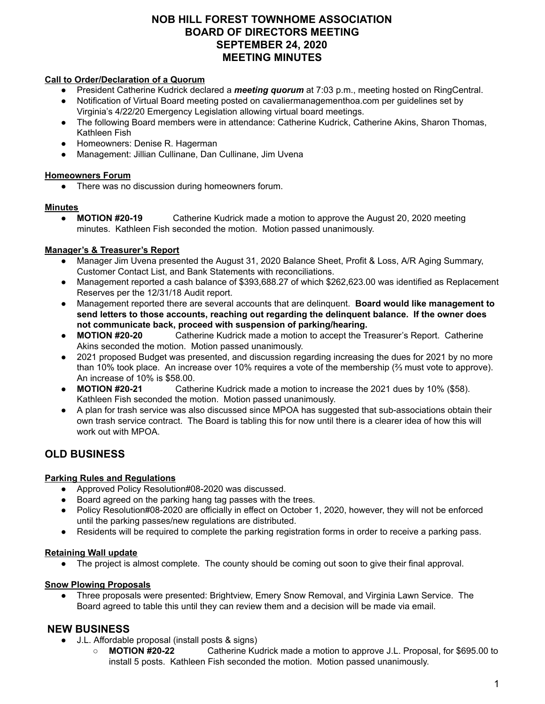## **NOB HILL FOREST TOWNHOME ASSOCIATION BOARD OF DIRECTORS MEETING SEPTEMBER 24, 2020 MEETING MINUTES**

#### **Call to Order/Declaration of a Quorum**

- President Catherine Kudrick declared a *meeting quorum* at 7:03 p.m., meeting hosted on RingCentral.
- Notification of Virtual Board meeting posted on cavaliermanagementhoa.com per guidelines set by
- Virginia's 4/22/20 Emergency Legislation allowing virtual board meetings.
- The following Board members were in attendance: Catherine Kudrick, Catherine Akins, Sharon Thomas, Kathleen Fish
- Homeowners: Denise R. Hagerman
- Management: Jillian Cullinane, Dan Cullinane, Jim Uvena

#### **Homeowners Forum**

There was no discussion during homeowners forum.

#### **Minutes**

● **MOTION #20-19** Catherine Kudrick made a motion to approve the August 20, 2020 meeting minutes. Kathleen Fish seconded the motion. Motion passed unanimously.

## **Manager's & Treasurer's Report**

- Manager Jim Uvena presented the August 31, 2020 Balance Sheet, Profit & Loss, A/R Aging Summary, Customer Contact List, and Bank Statements with reconciliations.
- Management reported a cash balance of \$393,688.27 of which \$262,623.00 was identified as Replacement Reserves per the 12/31/18 Audit report.
- Management reported there are several accounts that are delinquent. **Board would like management to send letters to those accounts, reaching out regarding the delinquent balance. If the owner does not communicate back, proceed with suspension of parking/hearing.**
- **MOTION #20-20** Catherine Kudrick made a motion to accept the Treasurer's Report. Catherine Akins seconded the motion. Motion passed unanimously.
- 2021 proposed Budget was presented, and discussion regarding increasing the dues for 2021 by no more than 10% took place. An increase over 10% requires a vote of the membership (⅔ must vote to approve). An increase of 10% is \$58.00.
- **MOTION #20-21** Catherine Kudrick made a motion to increase the 2021 dues by 10% (\$58). Kathleen Fish seconded the motion. Motion passed unanimously.
- A plan for trash service was also discussed since MPOA has suggested that sub-associations obtain their own trash service contract. The Board is tabling this for now until there is a clearer idea of how this will work out with MPOA.

# **OLD BUSINESS**

## **Parking Rules and Regulations**

- Approved Policy Resolution#08-2020 was discussed.
- Board agreed on the parking hang tag passes with the trees.
- Policy Resolution#08-2020 are officially in effect on October 1, 2020, however, they will not be enforced until the parking passes/new regulations are distributed.
- Residents will be required to complete the parking registration forms in order to receive a parking pass.

## **Retaining Wall update**

• The project is almost complete. The county should be coming out soon to give their final approval.

#### **Snow Plowing Proposals**

● Three proposals were presented: Brightview, Emery Snow Removal, and Virginia Lawn Service. The Board agreed to table this until they can review them and a decision will be made via email.

## **NEW BUSINESS**

- J.L. Affordable proposal (install posts & signs)
	- **MOTION #20-22** Catherine Kudrick made a motion to approve J.L. Proposal, for \$695.00 to install 5 posts. Kathleen Fish seconded the motion. Motion passed unanimously.